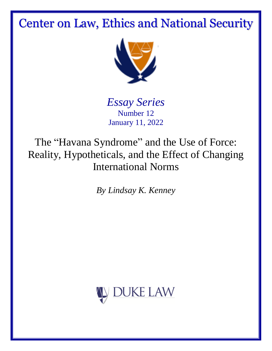# Center on Law, Ethics and National Security



*Essay Series* Number 12 January 11, 2022

The "Havana Syndrome" and the Use of Force: Reality, Hypotheticals, and the Effect of Changing International Norms

*By Lindsay K. Kenney*

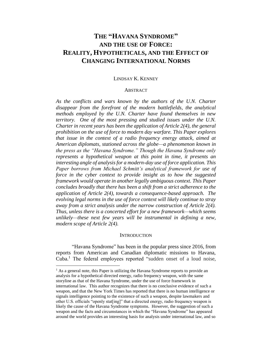# **THE "HAVANA SYNDROME" AND THE USE OF FORCE: REALITY, HYPOTHETICALS, AND THE EFFECT OF CHANGING INTERNATIONAL NORMS**

## LINDSAY K. KENNEY

#### **ABSTRACT**

*As the conflicts and wars known by the authors of the U.N. Charter disappear from the forefront of the modern battlefields, the analytical methods employed by the U.N. Charter have found themselves in new territory. One of the most pressing and studied issues under the U.N. Charter in recent years has been the application of Article 2(4), the general prohibition on the use of force to modern day warfare. This Paper explores that issue in the context of a radio frequency energy attack, aimed at American diplomats, stationed across the globe—a phenomenon known in the press as the "Havana Syndrome." Though the Havana Syndrome only represents a hypothetical weapon at this point in time, it presents an interesting angle of analysis for a modern-day use of force application. This Paper borrows from Michael Schmitt's analytical framework for use of force in the cyber context to provide insight as to how the suggested framework would operate in another legally ambiguous context. This Paper concludes broadly that there has been a shift from a strict adherence to the application of Article 2(4), towards a consequence-based approach. The evolving legal norms in the use of force context will likely continue to stray away from a strict analysis under the narrow construction of Article 2(4). Thus, unless there is a concerted effort for a new framework—which seems unlikely—these next few years will be instrumental in defining a new, modern scope of Article 2(4).* 

#### **INTRODUCTION**

"Havana Syndrome" has been in the popular press since 2016, from reports from American and Canadian diplomatic missions to Havana, Cuba.<sup>1</sup> The federal employees reported "sudden onset of a loud noise,

 $<sup>1</sup>$  As a general note, this Paper is utilizing the Havana Syndrome reports to provide an</sup> analysis for a hypothetical directed energy, radio frequency weapon, with the same storyline as that of the Havana Syndrome, under the use of force framework in international law. This author recognizes that there is no conclusive evidence of such a weapon, and that the New York Times has reported that there is no human intelligence or signals intelligence pointing to the existence of such a weapon, despite lawmakers and other U.S. officials "openly stat[ing]" that a directed energy, radio frequency weapon is likely the cause of the Havana Syndrome symptoms. However, the suggestion of such a weapon and the facts and circumstances in which the "Havana Syndrome" has appeared around the world provides an interesting basis for analysis under international law, and so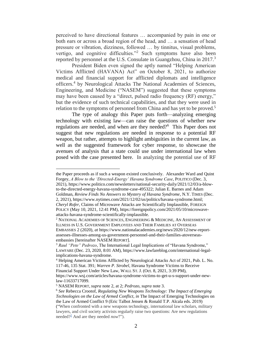perceived to have directional features … accompanied by pain in one or both ears or across a broad region of the head, and … a sensation of head pressure or vibration, dizziness, followed … by tinnitus, visual problems, vertigo, and cognitive difficulties."<sup>2</sup> Such symptoms have also been reported by personnel at the U.S. Consulate in Guangzhou, China in 2017.<sup>3</sup>

<span id="page-2-1"></span><span id="page-2-0"></span>President Biden even signed the aptly named "Helping American Victims Afflicted (HAVANA) Act" on October 8, 2021, to authorize medical and financial support for afflicted diplomats and intelligence officers.<sup>4</sup> by Neurological Attacks The National Academies of Sciences, Engineering, and Medicine ("NASEM") suggested that these symptoms may have been caused by a "direct, pulsed radio frequency (RF) energy," but the evidence of such technical capabilities, and that they were used in relation to the symptoms of personnel from China and has yet to be proved.<sup>5</sup>

The type of analogy this Paper puts forth—analyzing emerging technology with existing law—can raise the questions of whether new regulations are needed, and when are they needed?<sup>6</sup> This Paper does not suggest that new regulations are needed in response to a potential RF weapon, but rather, attempts to highlight ambiguities in the current law, as well as the suggested framework for cyber response, to showcase the avenues of analysis that a state could use under international law when posed with the case presented here. In analyzing the potential use of RF

to-the-directed-energy-havana-syndrome-case-495322; Julian E. Barnes and Adam Goldman, *Review Finds No Answers to Mystery of Havana Syndrome*, N.Y. TIMES (Dec. 2, 2021), https://www.nytimes.com/2021/12/02/us/politics/havana-syndrome.html; *Cheryl Rofer*, Claims of Microwave Attacks are Scientifically Implausible, FOREIGN

the Paper proceeds as if such a weapon existed conclusively. Alexander Ward and Quint Forgey, *A Blow to the 'Directed-Energy' Havana Syndrome Case*, POLITICO (Dec. 3, 2021), https://www.politico.com/newsletters/national-security-daily/2021/12/03/a-blow-

POLICY (May 10, 2021, 12:41 PM), https://foreignpolicy.com/2021/05/10/microwaveattacks-havana-syndrome-scientifically-implausible.

<sup>2</sup> NATIONAL ACADEMIES OF SCIENCES, ENGINEERING & MEDICINE, AN ASSESSMENT OF ILLNESS IN U.S. GOVERNMENT EMPLOYEES AND THEIR FAMILIES AT OVERSEAS

EMBASSIES 2 (2020), *at* https://www.nationalacademies.org/news/2020/12/new-reportassesses-illnesses-among-us-government-personnel-and-their-families-atoverseasembassies [hereinafter NASEM REPORT].

<sup>3</sup> *Raul "Pete" Pedrozo*, The International Legal Implications of "Havana Syndrome," LAWFARE (Dec. 23, 2020, 8:01 AM), https://www.lawfareblog.com/international-legalimplications-havana-syndrome.

<sup>4</sup> Helping American Victims Afflicted by Neurological Attacks Act of 2021, Pub. L. No. 117-46, 135 Stat. 391; *Warren P. Strobel*, Havana Syndrome Victims to Receive Financial Support Under New Law, WALL ST. J. (Oct. 8, 2021, 3:39 PM), https://www.wsj.com/articles/havana-syndrome-victims-to-get-u-s-support-under-newlaw-11633717099.

<sup>5</sup> NASEM REPORT, *supra* note [2,](#page-2-0) at 2; *Pedrozo*, *supra* not[e 3.](#page-2-1)

<sup>6</sup> *See* Rebecca Crootof, *Regulating New Weapons Technology: The Impact of Emerging Technologies on the Law of Armed Conflict*, *in* The Impact of Emerging Technologies on the Law of Armed Conflict 9 (Eric Talbot Jensen & Ronald T.P. Alcala eds. 2019) ("When confronted with a new weapons technology, international law scholars, military lawyers, and civil society activists regularly raise two questions: Are new regulations needed[?](https://opil-ouplaw-com.proxy.lib.duke.edu/view/10.1093/law/9780190915322.001.0001/law-9780190915322-chapter-1?prd=OPIL#law-9780190915322-chapter-1-note-4)<sup>2</sup> And are they needed *now*?").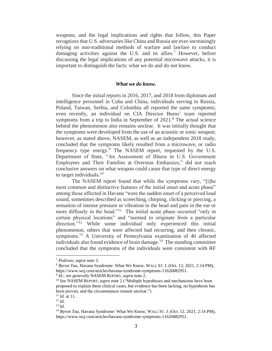weapons, and the legal implications and rights that follow, this Paper recognizes that U.S. adversaries like China and Russia are ever-increasingly relying on non-traditional methods of warfare and lawfare to conduct damaging activities against the U.S. and its allies.<sup>7</sup> However, before discussing the legal implications of any potential microwave attacks, it is important to distinguish the facts: what we do and do not know.

#### <span id="page-3-0"></span>*What we do know.*

Since the initial reports in 2016, 2017, and 2018 from diplomats and intelligence personnel in Cuba and China, individuals serving in Russia, Poland, Taiwan, Serbia, and Colombia all reported the same symptoms; even recently, an individual on CIA Director Burns' team reported symptoms from a trip to India in September of  $2021$ .<sup>8</sup> The actual science behind the phenomenon also remains unclear. It was initially thought that the symptoms were developed from the use of an acoustic or sonic weapon; however, as stated above, NASEM, as well as an independent 2018 study, concluded that the symptoms likely resulted from a microwave, or radio frequency type energy.<sup>9</sup> The NASEM report, requested by the U.S. Department of State, "An Assessment of Illness in U.S. Government Employees and Their Families at Overseas Embassies," did not reach conclusive answers on what weapon could cause that type of direct energy to target individuals.<sup>10</sup>

The NASEM report found that while the symptoms vary, "[t]he most common and distinctive features of the initial onset and acute phase" among those affected in Havana "were the sudden onset of a perceived loud sound, sometimes described as screeching, chirping, clicking or piercing, a sensation of intense pressure or vibration in the head and pain in the ear or more diffusely in the head."<sup>11</sup> The initial acute phase occurred "only in certain physical locations" and "seemed to originate from a particular direction."<sup>12</sup> While some individual only experienced this initial phenomenon, others that were affected had recurring, and then chronic, symptoms.<sup>13</sup> A University of Pennsylvania examination of 40 affected individuals also found evidence of brain damage.<sup>14</sup> The standing committee concluded that the symptoms of the individuals were consistent with RF

<sup>7</sup> *Pedrozo*, *supra* note [3.](#page-2-1)

<sup>8</sup> *Byron Tau*, Havana Syndrome: What We Know, WALL ST. J. (Oct. 12, 2021, 2:14 PM), https://www.wsj.com/articles/havana-syndrome-symptoms-11626882951.

<sup>9</sup> *Id.*; *see generally* NASEM REPORT, *supra* note [2.](#page-2-0)

<sup>10</sup> *See* NASEM REPORT, *supra* note [2](#page-2-0) ("Multiple hypotheses and mechanisms have been proposed to explain these clinical cases, but evidence has been lacking, no hypothesis has been proven, and the circumstances remain unclear.").

<sup>11</sup> *Id.* at 11.

<sup>12</sup> *Id.*

<sup>13</sup> *Id.*

<sup>&</sup>lt;sup>14</sup> Byron Tau, Havana Syndrome: What We Know, WALL ST. J. (Oct. 12, 2021, 2:14 PM), https://www.wsj.com/articles/havana-syndrome-symptoms-11626882951.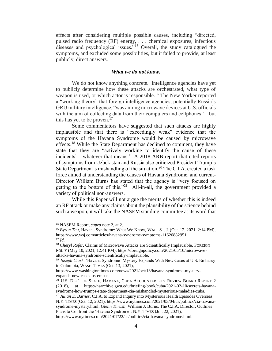effects after considering multiple possible causes, including "directed, pulsed radio frequency (RF) energy, . . . chemical exposures, infectious diseases and psychological issues.<sup>"15</sup> Overall, the study catalogued the symptoms, and excluded some possibilities, but it failed to provide, at least publicly, direct answers.

# <span id="page-4-0"></span>*What we do not know.*

We do not know anything concrete. Intelligence agencies have yet to publicly determine how these attacks are orchestrated, what type of weapon is used, or which actor is responsible. <sup>16</sup> The New Yorker reported a "working theory" that foreign intelligence agencies, potentially Russia's GRU military intelligence, "was aiming microwave devices at U.S. officials with the aim of collecting data from their computers and cellphones"—but this has yet to be proven.<sup>17</sup>

Some commentators have suggested that such attacks are highly implausible and that there is "exceedingly weak" evidence that the symptoms of the Havana Syndrome would be caused by microwave effects.<sup>18</sup> While the State Department has declined to comment, they have state that they are "actively working to identify the cause of these incidents"—whatever that means.<sup>19</sup> A 2018 ARB report that cited reports of symptoms from Uzbekistan and Russia also criticized President Trump's State Department's mishandling of the situation.<sup>20</sup> The C.I.A. created a task force aimed at understanding the causes of Havana Syndrome, and current-Director William Burns has stated that the agency is "very focused on getting to the bottom of this."<sup>21</sup> All-in-all, the government provided a variety of political non-answers.

While this Paper will not argue the merits of whether this is indeed an RF attack or make any claims about the plausibility of the science behind such a weapon, it will take the NASEM standing committee at its word that

<sup>15</sup> NASEM Report, *supra* not[e 2,](#page-2-0) at 2.

<sup>&</sup>lt;sup>16</sup> Byron Tau, Havana Syndrome: What We Know, WALL ST. J. (Oct. 12, 2021, 2:14 PM), https://www.wsj.com/articles/havana-syndrome-symptoms-11626882951. <sup>17</sup> *Id.*

<sup>&</sup>lt;sup>18</sup> *Cheryl Rofer*, Claims of Microwave Attacks are Scientifically Implausible, FOREIGN POL'Y (May 10, 2021, 12:41 PM), https://foreignpolicy.com/2021/05/10/microwaveattacks-havana-syndrome-scientifically-implausible.

<sup>19</sup> *Joseph Clark*, 'Havana Syndrome' Mystery Expands With New Cases at U.S. Embassy in Colombia, WASH. TIMES (Oct. 13, 2021),

https://www.washingtontimes.com/news/2021/oct/13/havana-syndrome-mysteryexpands-new-cases-us-embas.

<sup>&</sup>lt;sup>20</sup> U.S. DEP'T OF STATE, HAVANA, CUBA ACCOUNTABILITY REVIEW BOARD REPORT 2 (2018), at https://nsarchive.gwu.edu/briefing-book/cuba/2021-02-10/secrets-havanasyndrome-how-trumps-state-department-cia-mishandled-mysterious-maladies-cuba.

<sup>&</sup>lt;sup>21</sup> *Julian E. Barnes*, C.I.A. to Expand Inquiry into Mysterious Health Episodes Overseas, N.Y. TIMES (Oct. 12, 2021), https://www.nytimes.com/2021/03/04/us/politics/cia-havanasyndrome-mystery.html; *Glenn Thrush*, William J. Burns, The C.I.A. Director, Outlines Plans to Confront the 'Havana Syndrome', N.Y. TIMES (Jul. 22, 2021),

https://www.nytimes.com/2021/07/22/us/politics/cia-havana-syndrome.html.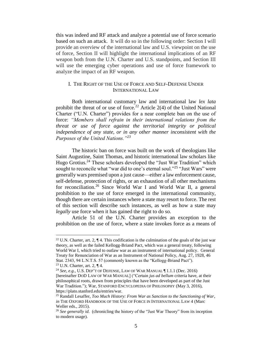this was indeed and RF attack and analyze a potential use of force scenario based on such an attack. It will do so in the following order: Section I will provide an overview of the international law and U.S. viewpoint on the use of force, Section II will highlight the international implications of an RF weapon both from the U.N. Charter and U.S. standpoints, and Section III will use the emerging cyber operations and use of force framework to analyze the impact of an RF weapon.

# I. THE RIGHT OF THE USE OF FORCE AND SELF-DEFENSE UNDER INTERNATIONAL LAW

Both international customary law and international law *lex lata*  prohibit the threat of or use of force.<sup>22</sup> Article 2(4) of the United National Charter ("U.N. Charter") provides for a near complete ban on the use of force: *"Members shall refrain in their international relations from the threat or use of force against the territorial integrity or political independence of any state, or in any other manner inconsistent with the Purposes of the United Nations."<sup>23</sup>*

<span id="page-5-0"></span>The historic ban on force was built on the work of theologians like Saint Augustine, Saint Thomas, and historic international law scholars like Hugo Grotius.<sup>24</sup> These scholars developed the "Just War Tradition" which sought to reconcile what "war did to one's eternal soul."<sup>25</sup> "Just Wars" were generally wars premised upon a just cause—either a law enforcement cause, self-defense, protection of rights, or an exhaustion of all other mechanisms for reconciliation.<sup>26</sup> Since World War I and World War II, a general prohibition to the use of force emerged in the international community, though there are certain instances where a state may resort to force. The rest of this section will describe such instances, as well as how a state may *legally* use force when it has gained the right to do so.

Article 51 of the U.N. Charter provides an exception to the prohibition on the use of force, where a state invokes force as a means of

<sup>&</sup>lt;sup>22</sup> U.N. Charter, art. 2,  $\P$  4. This codification is the culmination of the goals of the just war theory, as well as the failed Kellogg-Briand Pact, which was a general treaty, following World War I, which tried to outlaw war as an instrument of international policy. General Treaty for Renunciation of War as an Instrument of National Policy, Aug. 27, 1928, 46 Stat. 2343, 94 L.N.T.S. 57 (commonly known as the "Kellogg-Briand Pact").

<sup>23</sup> U.N. Charter, art. 2, ¶ 4.

<sup>24</sup> *See, e.g.*, U.S. DEP'T OF DEFENSE, LAW OF WAR MANUAL ¶ 1.1.1 (Dec. 2016) [hereinafter DOD LAW OF WAR MANUAL] ("Certain *jus ad bellum* criteria have, at their philosophical roots, drawn from principles that have been developed as part of the Just War Tradition."); War, STANFORD ENCYCLOPEDIA OF PHILOSOPHY (May 3, 2016), https://plato.stanford.edu/entries/war.

<sup>25</sup> Randall Lesaffer, *Too Much History: From War as Sanction to the Sanctioning of War*, *in* THE OXFORD HANDBOOK OF THE USE OF FORCE IN INTERNATIONAL LAW 4 (Marc Weller eds., 2015).

<sup>&</sup>lt;sup>26</sup> See generally id. (chronicling the history of the "Just War Theory" from its inception to modern usage).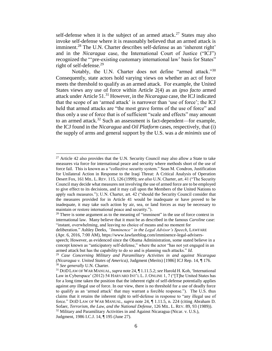self-defense when it is the subject of an armed attack.<sup>27</sup> States may also invoke self-defense where it is reasonably believed that an armed attack is imminent.<sup>28</sup> The U.N. Charter describes self-defense as an 'inherent right' and in the *Nicaragua* case, the International Court of Justice ("ICJ") recognized the "'pre-existing customary international law' basis for States" right of self-defense.<sup>29</sup>

<span id="page-6-0"></span>Notably, the U.N. Charter does not define "armed attack."<sup>30</sup> Consequently, state actors hold varying views on whether an act of force meets the threshold to qualify as an armed attack. For example, the United States views any use of force within Article 2(4) as an *ipso facto* armed attack under Article 51.<sup>31</sup> However, in the *Nicaragua* case, the ICJ indicated that the scope of an 'armed attack' is narrower than 'use of force'; the ICJ held that armed attacks are "the most grave forms of the use of force" and thus only a use of force that is of sufficient "scale and effects" may amount to an armed attack.<sup>32</sup> Such an assessment is fact-dependent—for example, the ICJ found in the *Nicaragua* and *Oil Platform* cases, respectively, that (i) the supply of arms and general support by the U.S. was a *de minimis* use of

<sup>&</sup>lt;sup>27</sup> Article 42 also provides that the U.N. Security Council may also allow a State to take measures via force for international peace and security where methods short of the use of force fail. This is known as a "collective security system." Sean M. Condron, Justification for Unilateral Action in Response to the Iraqi Threat: A Critical Analysis of Operation Desert Fox, 161 MIL. L.REV. 115, 126 (1999); *see also* U.N. Charter, art. 41 ("The Security Council may decide what measures not involving the use of armed force are to be employed to give effect to its decisions, and it may call upon the Members of the United Nations to apply such measures."); U.N. Charter, art. 42 ("should the Security Council consider that the measures provided for in Article 41 would be inadequate or have proved to be inadequate, it may take such action by air, sea, or land forces as may be necessary to maintain or restore international peace and security.").

 $28$  There is some argument as to the meaning of "imminent" in the use of force context in international law. Many believe that it must be as described in the famous *Caroline* case: "instant, overwhelming, and leaving no choice of means and no moment for

deliberation." Ashley Deeks, *"Imminence" in the Legal Advisor's Speech*, LAWFARE (Apr. 6, 2016, 7:00 AM), https://www.lawfareblog.com/imminence-legal-advisers-

speech; However, as evidenced since the Obama Administration, some stated believe in a concept known as "anticipatory self-defense," where the actor "has not yet engaged in an armed attack but has the capability to do so and is planning such attacks." *Id.* 

<sup>29</sup> *Case Concerning Military and Paramilitary Activities in and against Nicaragua (Nicaragua v. United States of America)*, Judgment (Merits) [1986] ICJ Rep. 14, ¶ 176. <sup>30</sup> *See generally* U.N. Charter.

<sup>31</sup> DOD LAW OF WAR MANUAL, *supra* not[e 24,](#page-5-0) ¶ 1.11.5.2; *see* Harold H. Koh, 'International Law in Cyberspace' (2012) 54 HARVARD INT'L L.J. ONLINE 1, 7 ("[T]he United States has for a long time taken the position that the inherent right of self-defense potentially applies against *any* illegal use of force. In our view, there is no threshold for a use of deadly force to qualify as an 'armed attack' that may warrant a forcible response."). The U.S. thus claims that it retains the inherent right to self-defense in response to "any illegal use of force." DOD LAW OF WAR MANUAL, *supra* note [24,](#page-5-0) ¶ 1.11.5, n. 224 (citing Abraham D. Sofaer, *Terrorism, the Law, and the National Defense*, 126 MIL. L. REV. 89, 93 (1989)).  $32$  Military and Paramilitary Activities in and Against Nicaragua (Nicar. v. U.S.), Judgment, 1986 I.C.J. 14, ¶ 195 (June 27).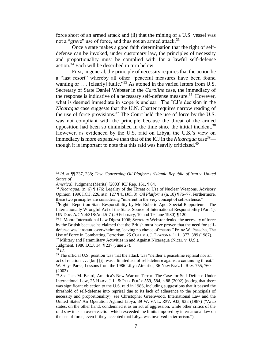force short of an armed attack and (ii) that the mining of a U.S. vessel was not a "grave" use of force, and thus not an armed attack.<sup>33</sup>

Once a state makes a good faith determination that the right of selfdefense can be invoked, under customary law, the principles of necessity and proportionality must be complied with for a lawful self-defense action.<sup>34</sup> Each will be described in turn below.

First, in general, the principle of necessity requires that the action be a "last resort" whereby all other "peaceful measures have been found wanting or . . . [clearly] futile."<sup>35</sup> As atoned in the varied letters from U.S. Secretary of State Daniel Webster in the *Caroline* case, the immediacy of the response is indicative of a necessary self-defense measure.<sup>36</sup> However, what is deemed immediate in scope is unclear. The ICJ's decision in the *Nicaragua* case suggests that the U.N. Charter requires narrow reading of the use of force provisions.<sup>37</sup> The Court held the use of force by the U.S. was not compliant with the principle because the threat of the armed opposition had been so diminished in the time since the initial incident.<sup>38</sup> However, as evidenced by the U.S. raid on Libya, the U.S.'s view on immediacy is more expansive than that of the ICJ in the *Nicaragua* case<sup>39</sup> though it is important to note that this raid was heavily criticized. $40$ 

Judgment, 1986 I.C.J. 14, ¶ 237 (June 27).

<sup>33</sup> *Id.* at ¶¶ 237, 238; *Case Concerning Oil Platforms (Islamic Republic of Iran v*. *United States of*

*America)*, Judgment (Merits) [2003] ICJ Rep. 161, ¶ 64.

<sup>34</sup> *Nicaragua*, (n. 6) ¶ 176; Legality of the Threat or Use of Nuclear Weapons, Advisory Opinion, 1996 I.C.J. 226, at n. 127 ¶ 41 (Jul. 8); *Oil Platforms* (n. 18) ¶ 76–77. Furthermore, these two principles are considering "inherent in the very concept of self-defense."

 $35$ Eighth Report on State Responsibility by Mr. Roberto Ago, Special Rapporteur – The Internationally Wrongful Act of the State, Source of International Responsibility (Part 1), UN Doc. A/CN.4/318/Add.5-7 (29 February, 10 and 19 June 1980) ¶ 120.

<sup>36</sup> J. Moore International Law Digest 1906; Secretary Webster denied the necessity of force by the British because he claimed that the British must have proven that the need for selfdefense was "instant, overwhelming, leaving no choice of means." Franz W. Paasche, The Use of Force in Combatting Terrorism, 25 COLUMB. J. TRANSNAT'L L. 377, 389 (1987).  $37$  Military and Paramilitary Activities in and Against Nicaragua (Nicar. v. U.S.),

<sup>38</sup> *Id.*

<sup>&</sup>lt;sup>39</sup> The official U.S. position was that the attack was "neither a peacetime reprisal nor an act of relation, . . . [but] [i]t was a limited act of self-defense against a continuing threat." W. Hays Parks, Lessons from the 1986 Libya Airstrike, 36 NEW ENG. L. REV. 755, 760 (2002).

<sup>40</sup> *See* Jack M. Beard, America's New War on Terror: The Case for Self-Defense Under International Law, 25 HARV. J. L. & PUB. POL'Y 559, 584, n.88 (2002) (noting that there was significant objection to the U.S. raid in 1986, including suggestions that it passed the threshold of self-defense into reprisal due to its lack of adherence to the principals of necessity and proportionality); *see* Christopher Greenwood, International Law and the United States' Air Operation Against Libya, 89 W. VA L. REV. 933, 933 (1987) ("Arab states, on the other hand, condemned it as an act of aggression, while other critics of the raid saw it as an over-reaction which exceeded the limits imposed by international law on the use of force, even if they accepted that Libya was involved in terrorism.").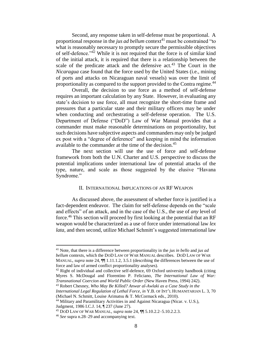Second, any response taken in self-defense must be proportional. A proportional response in the *jus ad bellum* context<sup>41</sup> must be constrained "to what is reasonably necessary to promptly secure the permissible objectives of self-defence."<sup>42</sup> While it is not required that the force is of similar kind of the initial attack, it is required that there is a relationship between the scale of the predicate attack and the defensive act.<sup>43</sup> The Court in the *Nicaragua* case found that the force used by the United States (i.e., mining of ports and attacks on Nicaraguan naval vessels) was over the limit of proportionality as compared to the support provided to the Contra regime.<sup>44</sup>

Overall, the decision to use force as a method of self-defense requires an important calculation by any State. However, in evaluating any state's decision to use force, all must recognize the short-time frame and pressures that a particular state and their military officers may be under when conducting and orchestrating a self-defense operation. The U.S. Department of Defense ("DoD") Law of War Manual provides that a commander must make reasonable determinations on proportionality, but such decisions have subjective aspects and commanders may only be judged ex post with a "degree of deference" and keeping in mind the information available to the commander at the time of the decision.<sup>45</sup>

The next section will use the use of force and self-defense framework from both the U.N. Charter and U.S. perspective to discuss the potential implications under international law of potential attacks of the type, nature, and scale as those suggested by the elusive "Havana Syndrome."

# II. INTERNATIONAL IMPLICATIONS OF AN RF WEAPON

As discussed above, the assessment of whether force is justified is a fact-dependent endeavor. The claim for self-defense depends on the "scale and effects" of an attack, and in the case of the U.S., the use of *any* level of force. <sup>46</sup> This section will proceed by first looking at the potential that an RF weapon would be characterized as a use of force under international law *lex lata*, and then second, utilize Michael Schmitt's suggested international law

 $42$  Right of individual and collective self-defence, 69 Oxford university handbook (citing Myres S. McDougal and Florentino P. Feliciano, *The International Law of War: Transnational Coercion and World Public Order* (New Haven Press, 1994) 242). <sup>43</sup> Robert Chesney, *Who May Be Killed? Anwar al-Awlaki as a Case Study in the* 

<sup>41</sup> Note, that there is a difference between proportionality in the *jus in bello* and *jus ad bellum* contexts, which the DOD LAW OF WAR MANUAL describes. DOD LAW OF WAR MANUAL, *supra* note [24,](#page-5-0)  $\P$  1.11.1.2, 3.5.1 (describing the differences between the use of force and law of armed conflict proportionality analyses).

*International Legal Regulation of Lethal Force*, *in* Y.B. OF INT'L HUMANITARIAN L. 3, 70 (Michael N. Schmitt, Louise Arimatsu & T. McCormack eds., 2010).

<sup>44</sup> Military and Paramilitary Activities in and Against Nicaragua (Nicar. v. U.S.), Judgment, 1986 I.C.J. 14, ¶ 237 (June 27).

<sup>45</sup> DOD LAW OF WAR MANUAL, *supra* note [24,](#page-5-0) ¶¶ 5.10.2.2–5.10.2.2.3.

<sup>46</sup> *See* supra n.28–29 and accompanying text.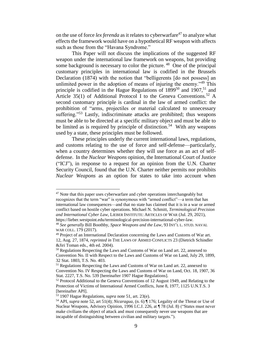on the use of force *lex ferenda* as it relates to cyberwarfare<sup>47</sup> to analyze what effects the framework would have on a hypothetical RF weapon with affects such as those from the "Havana Syndrome."

<span id="page-9-1"></span><span id="page-9-0"></span>This Paper will not discuss the implications of the suggested RF weapon under the international law framework on weapons, but providing some background is necessary to color the picture. <sup>48</sup> One of the principal customary principles in international law is codified in the Brussels Declaration (1874) with the notion that "belligerents [do not possess] an unlimited power in the adoption of means of injuring the enemy.<sup>49</sup> This principle is codified in the Hague Regulations of  $1899^{50}$  and  $1907<sup>51</sup>$  and Article 35(1) of Additional Protocol I to the Geneva Conventions.<sup>52</sup> A second customary principle is cardinal in the law of armed conflict: the prohibition of "arms, projectiles or material calculated to unnecessary suffering."<sup>53</sup> Lastly, indiscriminate attacks are prohibited; thus weapons must be able to be directed at a specific military object and must be able to be limited as is required by principle of distinction.<sup>54</sup> With any weapons used by a state, these principles must be followed.

These principles underly the current international laws, regulations, and customs relating to the use of force and self-defense—particularly, when a country determines whether they will use force as an act of selfdefense. In the *Nuclear Weapons* opinion, the International Court of Justice ("ICJ"), in response to a request for an opinion from the U.N. Charter Security Council, found that the U.N. Charter neither permits nor prohibits *Nuclear Weapons* as an option for states to take into account when

 $47$  Note that this paper uses cyberwarfare and cyber operations interchangeably but recognizes that the term "war" is synonymous with "armed conflict"—a term that has international law consequences—and that no state has claimed that it is in a war or armed conflict based on hostile cyber operations. Michael N. Schmitt, *Terminological Precision and International Cyber Law*, LIEBER INSTITUTE: ARTICLES OF WAR (Jul. 29, 2021), https://lieber.westpoint.edu/terminological-precision-international-cyber-law.

<sup>48</sup> *See generally* Bill Boothby, *Space Weapons and the Law*, 93 INT'L L. STUD. NAVAL WAR COLL. 179 (2017).

<sup>49</sup> Project of an International Declaration concerning the Laws and Customs of War art. 12, Aug. 27, 1874, *reprinted in* THE LAWS OF ARMED CONFLICTS 23 (Dietrich Schindler &Jiri Toman eds., 4th ed. 2004).

<sup>&</sup>lt;sup>50</sup> Regulations Respecting the Laws and Customs of War on Land art. 22, annexed to Convention No. II with Respect to the Laws and Customs of War on Land, July 29, 1899, 32 Stat. 1803, T.S. No. 403.

<sup>51</sup> Regulations Respecting the Laws and Customs of War on Land art. 22, annexed to Convention No. IV Respecting the Laws and Customs of War on Land, Oct. 18, 1907, 36 Stat. 2227, T.S. No. 539 [hereinafter 1907 Hague Regulations].

<sup>&</sup>lt;sup>52</sup> Protocol Additional to the Geneva Conventions of 12 August 1949, and Relating to the Protection of Victims of International Armed Conflicts, June 8, 1977, 1125 U.N.T.S. 3 [hereinafter API].

<sup>53</sup> 1907 Hague Regulations, *supra* note [51,](#page-9-0) art. 23(e).

<sup>54</sup> API, *supra* note [52,](#page-9-1) art 51(4); *Nicaragua*, (n. 6) ¶ 176; Legality of the Threat or Use of Nuclear Weapons, Advisory Opinion, 1996 I.C.J. 226, at ¶ 78 (Jul. 8) ("States must never make civilians the object of attack and must consequently never use weapons that are incapable of distinguishing between civilian and military targets.").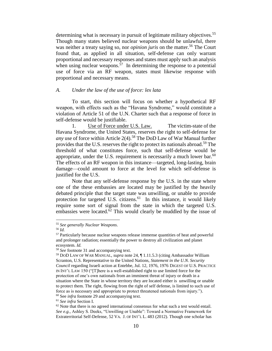determining what is necessary in pursuit of legitimate military objectives.<sup>55</sup> Though many states believed nuclear weapons should be unlawful, there was neither a treaty saying so, nor *opinion juris* on the matter.<sup>56</sup> The Court found that, as applied in all situation, self-defense can only warrant proportional and necessary responses and states must apply such an analysis when using nuclear weapons.<sup>57</sup> In determining the response to a potential use of force via an RF weapon, states must likewise response with proportional and necessary means.

# *A. Under the law of the use of force: lex lata*

To start, this section will focus on whether a hypothetical RF weapon, with effects such as the "Havana Syndrome," would constitute a violation of Article 51 of the U.N. Charter such that a response of force in self-defense would be justifiable.

1. Use of Force under U.S. Law. The victim-state of the Havana Syndrome, the United States, reserves the right to self-defense for *any* use of force within Article 2(4).<sup>58</sup> The DoD Law of War Manual further provides that the U.S. reserves the right to protect its nationals abroad.<sup>59</sup> The threshold of what constitutes force, such that self-defense would be appropriate, under the U.S. requirement is necessarily a much lower bar.<sup>60</sup> The effects of an RF weapon in this instance—targeted, long-lasting, brain damage—could amount to force at the level for which self-defense is justified for the U.S.

Note that any self-defense response by the U.S. in the state where one of the these embassies are located may be justified by the heavily debated principle that the target state was unwilling, or unable to provide protection for targeted U.S. citizens.<sup>61</sup> In this instance, it would likely require some sort of signal from the state in which the targeted U.S. embassies were located.<sup>62</sup> This would clearly be muddled by the issue of

 $\overline{a}$ 

<sup>61</sup> *See infra* Section I.

<sup>55</sup> *See generally Nuclear Weapons*.

<sup>56</sup> *Id.* 

<sup>&</sup>lt;sup>57</sup> Particularly because nuclear weapons release immense quantities of heat and powerful and prolonger radiation; essentially the power to destroy all civilization and planet ecosystem. *Id.* 

<sup>58</sup> *See* footnote [31](#page-6-0) and accompanying text.

<sup>59</sup> DOD LAW OF WAR MANUAL, *supra* note [24,](#page-5-0) ¶ 1.11.5.3 (citing Ambassador William Scranton, U.S. Representative to the United Nations, *Statement in the U.N. Security Council* regarding Israeli action at Entebbe, Jul. 12, 1976, 1976 DIGEST OF U.S. PRACTICE IN INT'L LAW 150 ("[T]here is a well-established right to use limited force for the protection of one's own nationals from an imminent threat of injury or death in a situation where the State in whose territory they are located either is unwilling or unable to protect them. The right, flowing from the right of self defense, is limited to such use of force as is necessary and appropriate to protect threatened nationals from injury."). <sup>60</sup> See *infra* footnote 29 and accompanying text.

 $62$  Note that there is no agreed international consensus for what such a test would entail. *See e.g.,* Ashley S. Deeks, "Unwilling or Unable": Toward a Normative Framework for Extraterritorial Self-Defense, 52 VA. J. OF INT'L L. 483 (2012). Though one scholar has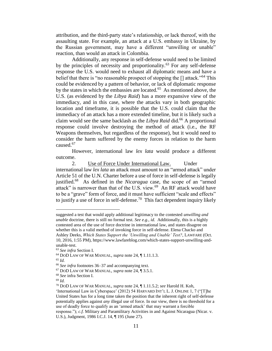attribution, and the third-party state's relationship, or lack thereof, with the assaulting state. For example, an attack at a U.S. embassy in Ukraine, by the Russian government, may have a different "unwilling or unable" reaction, than would an attack in Colombia.

Additionally, any response in self-defense would need to be limited by the principles of necessity and proportionality.<sup>63</sup> For any self-defense response the U.S. would need to exhaust all diplomatic means and have a belief that there is "no reasonable prospect of stopping the  $\iota$  attack."<sup>64</sup> This could be evidenced by a pattern of behavior, or lack of diplomatic response by the states in which the embassies are located.<sup>65</sup> As mentioned above, the U.S. (as evidenced by the *Libya Raid*) has a more expansive view of the immediacy, and in this case, where the attacks vary in both geographic location and timeframe, it is possible that the U.S. could claim that the immediacy of an attack has a more extended timeline, but it is likely such a claim would see the same backlash as the *Libya Raid* did.<sup>66</sup> A proportional response could involve destroying the method of attack (i.e., the RF Weapons themselves, but regardless of the response), but it would need to consider the harm suffered by the enemy forces in relation to the harm caused.<sup>67</sup>

However, international law *lex lata* would produce a different outcome.

2. Use of Force Under International Law. Under international law *lex lata* an attack must amount to an "armed attack" under Article 51 of the U.N. Charter before a use of force in self-defense is legally justified.<sup>68</sup> As defined in the *Nicaragua* case, the scope of an "armed attack" is narrower than that of the U.S. view.<sup>69</sup> An RF attack would have to be a "grave" form of force, and it must have sufficient "scale and effects" to justify a use of force in self-defense.<sup>70</sup> This fact dependent inquiry likely

suggested a test that would apply additional legitimacy to the contested *unwilling and unable* doctrine, there is still no formal test. *See e.g., id.* Additionally, this is a highly contested area of the use of force doctrine in international law, and states disagree on whether this is a valid method of invoking force in self-defense. Elena Chacko and Ashley Deeks, *Which States Support the 'Unwilling and Unable' Test?*, LAWFARE (Oct. 10, 2016, 1:55 PM), https://www.lawfareblog.com/which-states-support-unwilling-andunable-test.

<sup>63</sup> *See infra* Section I.

<sup>64</sup> DOD LAW OF WAR MANUAL, *supra* note [24,](#page-5-0) ¶ 1.11.1.3.

<sup>65</sup> *Id.*

<sup>66</sup> *See infra* footnotes 36–37 and accompanying text.

<sup>67</sup> DOD LAW OF WAR MANUAL, *supra* note [24,](#page-5-0) ¶ 3.5.1.

<sup>68</sup> *See* infra Section I.

<sup>69</sup> *Id.* 

<sup>70</sup> DOD LAW OF WAR MANUAL, *supra* note [24,](#page-5-0) ¶ 1.11.5.2; *see* Harold H. Koh,

<sup>&#</sup>x27;International Law in Cyberspace' (2012) 54 HARVARD INT'L L. J. ONLINE 1, 7 ("[T]he United States has for a long time taken the position that the inherent right of self-defense potentially applies against *any* illegal use of force. In our view, there is no threshold for a use of deadly force to qualify as an 'armed attack' that may warrant a forcible response."); *c.f.* Military and Paramilitary Activities in and Against Nicaragua (Nicar. v.

U.S.), Judgment, 1986 I.C.J. 14, ¶ 195 (June 27).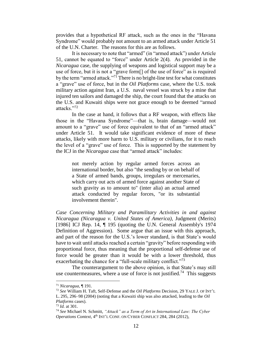provides that a hypothetical RF attack, such as the ones in the "Havana Syndrome" would probably not amount to an armed attack under Article 51 of the U.N. Charter. The reasons for this are as follows.

It is necessary to note that "armed" (in "armed attack") under Article 51, cannot be equated to "force" under Article 2(4). As provided in the *Nicaragua* case, the supplying of weapons and logistical support may be a use of force, but it is not a "grave form[] of the use of force" as is required by the term "armed attack."<sup>71</sup> There is no bright-line test for what constitutes a "grave" use of force, but in the *Oil Platforms* case, where the U.S. took military action against Iran, a U.S. naval vessel was struck by a mine that injured ten sailors and damaged the ship, the court found that the attacks on the U.S. and Kuwaiti ships were not grace enough to be deemed "armed attacks."<sup>72</sup>

In the case at hand, it follows that a RF weapon, with effects like those in the "Havana Syndrome"—that is, brain damage—would not amount to a "grave" use of force equivalent to that of an "armed attack" under Article 51. It would take significant evidence of more of these attacks, likely with more harm to U.S. military or civilians, for it to reach the level of a "grave" use of force. This is supported by the statement by the ICJ in the *Nicaragua* case that "armed attack" includes:

not merely action by regular armed forces across an international border, but also "the sending by or on behalf of a State of armed bands, groups, irregulars or mercenaries, which carry out acts of armed force against another State of such gravity as to amount to" (inter alia) an actual armed attack conducted by regular forces, "or its substantial involvement therein".

*Case Concerning Military and Paramilitary Activities in and against Nicaragua (Nicaragua v. United States of America)*, Judgment (Merits) [1986] ICJ Rep. 14, ¶ 195 (quoting the U.N. General Assembly's 1974 Definition of Aggression). Some argue that an issue with this approach, and part of the reason for the U.S.'s lower standard, is that State's would have to wait until attacks reached a certain "gravity" before responding with proportional force, thus meaning that the proportional self-defense use of force would be greater than it would be with a lower threshold, thus exacerbating the chance for a "full-scale military conflict."<sup>73</sup>

The counterargument to the above opinion, is that State's may still use countermeasures, where a use of force is not justified.<sup>74</sup> This suggests

<sup>71</sup> *Nicaragua*, ¶ 191.

<sup>72</sup> *See* William H. Taft, Self-Defense and the *Oil Platforms* Decision, 29 YALE J. OF INT'L L. 295, 296–98 (2004) (noting that a Kuwaiti ship was also attacked, leading to the *Oil Platforms* cases).

<sup>73</sup> *Id.* at 301.

<sup>74</sup> *See* Michael N. Schmitt, *"Attack" as a Term of Art in International Law: The Cyber*  Operations Context, 4<sup>th</sup> INT'L CONF. ON CYBER CONFLICT 284, 284 (2012),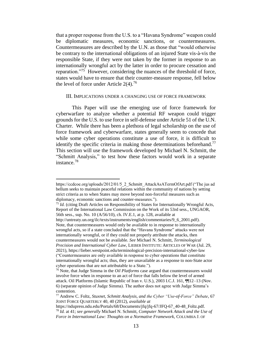that a proper response from the U.S. to a "Havana Syndrome" weapon could be diplomatic measures, economic sanctions, or countermeasures. Countermeasures are described by the U.N. as those that "would otherwise be contrary to the international obligations of an injured State vis-à-vis the responsible State, if they were not taken by the former in response to an internationally wrongful act by the latter in order to procure cessation and reparation."<sup>75</sup> However, considering the nuances of the threshold of force, states would have to ensure that their counter-measure response, fell below the level of force under Article  $2(4)$ .<sup>76</sup>

#### <span id="page-13-0"></span>III. IMPLICATIONS UNDER A CHANGING USE OF FORCE FRAMEWORK

This Paper will use the emerging use of force framework for cyberwarfare to analyze whether a potential RF weapon could trigger grounds for the U.S. to use force in self-defense under Article 51 of the U.N. Charter. While there has been a plethora of legal scholarship on the use of force framework and cyberwarfare, states generally seem to concede that while some cyber operations constitute a use of force, it is difficult to identify the specific criteria in making those determinations beforehand.<sup>77</sup> This section will use the framework developed by Michael N. Schmitt, the "Schmitt Analysis," to test how these factors would work in a separate instance.<sup>78</sup>

https://ccdcoe.org/uploads/2012/01/5\_2\_Schmitt\_AttackAsATermOfArt.pdf ("The jus ad bellum seeks to maintain peaceful relations within the community of nations by setting strict criteria as to when States may move beyond non-forceful measures such as diplomacy, economic sanctions and counter-measures.").

<sup>&</sup>lt;sup>75</sup> *Id.* (citing Draft Articles on Responsibility of States for Internationally Wrongful Acts, Report of the International Law Commission on the Work of its 53rd sess., UNGAOR, 56th sess., sup. No. 10 (A/56/10), ch. IV.E.1, at p. 128, available at http://untreaty.un.org/ilc/texts/instruments/english/commentaries/9\_6\_2001.pdf). Note, that countermeasures would only be available to in response to internationally wrongful acts, so if a state concluded that the "Havana Syndrome" attacks were not internationally wrongful, or if they could not properly attribute the attacks, then countermeasures would not be available. *See* Michael N. Schmitt, *Terminological Precision and International Cyber Law*, LIEBER INSTITUTE: ARTICLES OF WAR (Jul. 29, 2021), https://lieber.westpoint.edu/terminological-precision-international-cyber-law ("Countermeasures are only available in response to cyber operations that constitute internationally wrongful acts; thus, they are unavailable as a response to non-State actor

cyber operations that are not attributable to a State.").

<sup>76</sup> Note, that Judge Simma in the *Oil Platforms* case argued that countermeasures would involve force when in response to an act of force that falls below the level of armed attack. Oil Platforms (Islamic Republic of Iran v. U.S.), 2003 I.C.J. 161, ¶¶12–13 (Nov. 6) (separate opinion of Judge Simma). The author does not agree with Judge Simma's contention.

<sup>77</sup> Andrew C. Foltz, *Stuxnet, Schmitt Analysis, and the Cyber "Use-of-Force" Debate*, 67 JOINT FORCE QUARTERLY 40, 40 (2012), *available at* 

https://ndupress.ndu.edu/Portals/68/Documents/jfq/jfq-67/JFQ-67\_40-48\_Foltz.pdf. <sup>78</sup> *Id.* at 41; *see generally* Michael N. Schmitt, *Computer Network Attack and the Use of Force in International Law: Thoughts on a Normative Framework,* COLUMBIA J. OF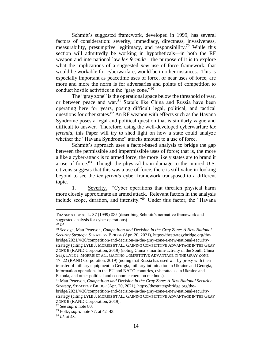Schmitt's suggested framework, developed in 1999, has several factors of consideration: severity, immediacy, directness, invasiveness, measurability, presumptive legitimacy, and responsibility.<sup>79</sup> While this section will admittedly be working in hypotheticals—in both the RF weapon and international law *lex ferenda*—the purpose of it is to explore what the implications of a suggested *new* use of force framework, that would be workable for cyberwarfare, would be in other instances. This is especially important as peacetime uses of force, or near uses of force, are more and more the norm is for adversaries and points of competition to conduct hostile activities in the "gray zone."<sup>80</sup>

<span id="page-14-0"></span>The "gray zone" is the operational space below the threshold of war, or between peace and war.<sup>81</sup> State's like China and Russia have been operating here for years, posing difficult legal, political, and tactical questions for other states.<sup>82</sup> An RF weapon with effects such as the Havana Syndrome poses a legal and political question that is similarly vague and difficult to answer. Therefore, using the well-developed cyberwarfare *lex ferenda*, this Paper will try to shed light on how a state could analyze whether the "Havana Syndrome" attacks amount to a use of force.

Schmitt's approach uses a factor-based analysis to bridge the gap between the permissible and impermissible uses of force; that is, the more a like a cyber-attack is to armed force, the more likely states are to brand it a use of force. $83$  Though the physical brain damage to the injured U.S. citizens suggests that this was a use of force, there is still value in looking beyond to see the *lex ferenda* cyber framework transposed to a different topic.

1. Severity. "Cyber operations that threaten physical harm more closely approximate an armed attack. Relevant factors in the analysis include scope, duration, and intensity."<sup>84</sup> Under this factor, the "Havana

TRANSNATIONAL L. 37 (1999) 885 (describing Schmitt's normative framework and suggested analysis for cyber operations).

 $79$   $\overline{Id}$ .

<sup>80</sup> *See e.g.*, Matt Peterson, *Competition and Decision in the Gray Zone: A New National Security Strategy*, STRATEGY BRIDGE (Apr. 20, 2021), https://thestrategybridge.org/thebridge/2021/4/20/competition-and-decision-in-the-gray-zone-a-new-national-securitystrategy (citing LYLE J. MORRIS ET AL., GAINING COMPETITIVE ADVANTAGE IN THE GRAY ZONE 8 (RAND Corporation, 2019) (noting China's maritime activity in the South China Sea); LYLE J. MORRIS ET AL., GAINING COMPETITIVE ADVANTAGE IN THE GRAY ZONE 17–22 (RAND Corporation, 2019) (noting that Russia has used war by proxy with their transfer of military equipment in Georgia, military intimidation in Ukraine and Georgia, information operations in the EU and NATO countries, cyberattacks in Ukraine and Estonia, and other political and economic coercion methods).

<sup>81</sup> Matt Peterson, *Competition and Decision in the Gray Zone: A New National Security Strategy*, STRATEGY BRIDGE (Apr. 20, 2021), https://thestrategybridge.org/thebridge/2021/4/20/competition-and-decision-in-the-gray-zone-a-new-national-securitystrategy (citing LYLE J. MORRIS ET AL., GAINING COMPETITIVE ADVANTAGE IN THE GRAY ZONE 8 (RAND Corporation, 2019).

<sup>82</sup> *See supra* note [80.](#page-14-0)

<sup>83</sup> Foltz, *supra* not[e 77,](#page-13-0) at 42–43.

<sup>84</sup> *Id.* at 43.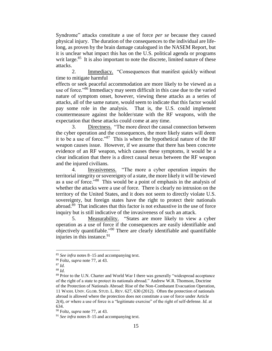Syndrome" attacks constitute a use of force *per se* because they caused physical injury. The duration of the consequences to the individual are lifelong, as proven by the brain damage catalogued in the NASEM Report, but it is unclear what impact this has on the U.S. political agenda or programs writ large.<sup>85</sup> It is also important to note the discrete, limited nature of these attacks.

2. Immediacy. "Consequences that manifest quickly without time to mitigate harmful

effects or seek peaceful accommodation are more likely to be viewed as a use of force."<sup>86</sup> Immediacy may seem difficult in this case due to the varied nature of symptom onset, however, viewing these attacks as a series of attacks, all of the same nature, would seem to indicate that this factor would pay some role in the analysis. That is, the U.S. could implement countermeasure against the holder/state with the RF weapons, with the expectation that these attacks could come at any time.

3. Directness. "The more direct the causal connection between the cyber operation and the consequences, the more likely states will deem it to be a use of force."<sup>87</sup> This is where the hypothetical nature of the RF weapon causes issue. However, if we assume that there has been concrete evidence of an RF weapon, which causes these symptoms, it would be a clear indication that there is a direct causal nexus between the RF weapon and the injured civilians.

4. Invasiveness. "The more a cyber operation impairs the territorial integrity or sovereignty of a state, the more likely it will be viewed as a use of force."<sup>88</sup> This would be a point of emphasis in the analysis of whether the attacks were a use of force. There is clearly no intrusion on the territory of the United States, and it does not seem to directly violate U.S. sovereignty, but foreign states have the right to protect their nationals abroad.<sup>89</sup> That indicates that this factor is not exhaustive in the use of force inquiry but is still indicative of the invasiveness of such an attack.

5. Measurability. "States are more likely to view a cyber operation as a use of force if the consequences are easily identifiable and objectively quantifiable."<sup>90</sup> There are clearly identifiable and quantifiable injuries in this instance.  $91$ 

<sup>85</sup> *See infra* notes [8–](#page-3-0)[15](#page-4-0) and accompanying text.

<sup>86</sup> Foltz, *supra* not[e 77,](#page-13-0) at 43.

<sup>87</sup> *Id.*

<sup>88</sup> *Id.*

<sup>&</sup>lt;sup>89</sup> Prior to the U.N. Charter and World War I there was generally "widespread acceptance of the right of a state to protect its nationals abroad." Andrew W.R. Thomson, Doctrine of the Protection of Nationals Abroad: Rise of the Non-Combatant Evacuation Operation, 11 WASH. UNIV. GLOB. STUD. L. REV. 627, 630 (2012). Often the protection of nationals abroad is allowed where the protection does not constitute a use of force under Article 2(4), *or* where a use of force is a "legitimate exercise" of the right of self-defense. *Id.* at 634.

<sup>90</sup> Foltz, *supra* not[e 77,](#page-13-0) at 43.

<sup>91</sup> *See infra* notes [8–](#page-3-0)[15](#page-4-0) and accompanying text.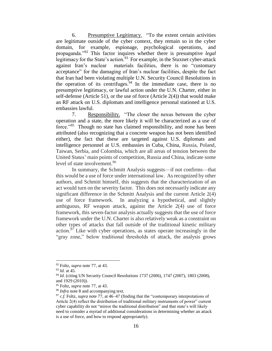6. Presumptive Legitimacy. "To the extent certain activities are legitimate outside of the cyber context, they remain so in the cyber domain, for example, espionage, psychological operations, and propaganda."<sup>92</sup> This factor inquires whether there is presumptive *legal*  legitimacy for the State's action.<sup>93</sup> For example, in the Stuxnet cyber-attack against Iran's nuclear materials facilities, there is no "customary acceptance" for the damaging of Iran's nuclear facilities, despite the fact that Iran had been violating multiple U.N. Security Council Resolutions in the operation of its centrifuges. <sup>94</sup> In the immediate case, there is no presumptive legitimacy, or lawful action under the U.N. Charter, either in self-defense (Article 51), or the use of force (Article  $2(4)$ ) that would make an RF attack on U.S. diplomats and intelligence personal stationed at U.S. embassies lawful.

7. Responsibility. "The closer the nexus between the cyber operation and a state, the more likely it will be characterized as a use of force."<sup>95</sup> Though no state has claimed responsibility, and none has been attributed (also recognizing that a concrete weapon has not been identified either), the fact that these are targeted against U.S. diplomats and intelligence personnel at U.S. embassies in Cuba, China, Russia, Poland, Taiwan, Serbia, and Colombia, which are all areas of tension between the United States' main points of competition, Russia and China, indicate some level of state involvement.<sup>96</sup>

In summary, the Schmitt Analysis suggests—if not confirms—that this would be a use of force under international law. As recognized by other authors, and Schmitt himself, this suggests that the characterization of an act would turn on the severity factor. This does not necessarily indicate any significant difference in the Schmitt Analysis and the current Article 2(4) use of force framework. In analyzing a hypothetical, and slightly ambiguous, RF weapon attack, against the Article 2(4) use of force framework, this seven-factor analysis actually suggests that the use of force framework under the U.N. Charter is also relatively weak as a constraint on other types of attacks that fall outside of the traditional kinetic military action.<sup>97</sup> Like with cyber operations, as states operate increasingly in the "gray zone," below traditional thresholds of attack, the analysis grows

<sup>92</sup> Foltz, *supra* not[e 77,](#page-13-0) at 43.

<sup>93</sup> *Id.* at 45.

<sup>94</sup> *Id.* (citing UN Security Council Resolutions 1737 (2006), 1747 (2007), 1803 (2008), and 1929 (2010)).

<sup>95</sup> Foltz, *supra* not[e 77,](#page-13-0) at 43.

<sup>&</sup>lt;sup>96</sup> *Infra* note [8](#page-3-0) and accompanying text.

<sup>97</sup> *c.f.* Foltz, *supra* note [77,](#page-13-0) at 46–47 (finding that the "contemporary interpretations of Article 2(4) reflect the distribution of traditional military instruments of power" current cyber capability do not "mirror the traditional distribution" and that state's will likely need to consider a myriad of additional considerations in determining whether an attack is a use of force, and how to respond appropriately).